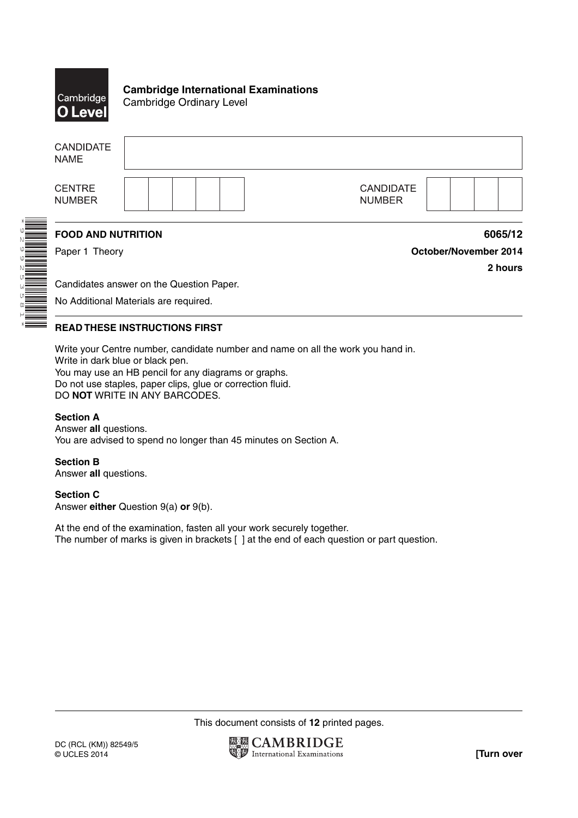

**Cambridge International Examinations** Cambridge Ordinary Level

|                                                                                                                                                                                                                                                                                                                                                                   | <b>CANDIDATE</b><br><b>NAME</b> |                                          |                                   |
|-------------------------------------------------------------------------------------------------------------------------------------------------------------------------------------------------------------------------------------------------------------------------------------------------------------------------------------------------------------------|---------------------------------|------------------------------------------|-----------------------------------|
|                                                                                                                                                                                                                                                                                                                                                                   | <b>CENTRE</b><br><b>NUMBER</b>  |                                          | <b>CANDIDATE</b><br><b>NUMBER</b> |
|                                                                                                                                                                                                                                                                                                                                                                   | <b>FOOD AND NUTRITION</b>       |                                          | 6065/12                           |
| $\begin{tabular}{ c c c c c } \hline $c$ & $c$ & $c$ & $c$ & $c$ & $c$ \\ \hline $c$ & $c$ & $c$ & $c$ & $c$ & $c$ & $c$ \\ \hline $c$ & $c$ & $c$ & $c$ & $c$ & $c$ & $c$ \\ \hline $c$ & $c$ & $c$ & $c$ & $c$ & $c$ & $c$ & $c$ \\ \hline $c$ & $c$ & $c$ & $c$ & $c$ & $c$ & $c$ & $c$ & $c$ & $c$ \\ \hline $c$ & $c$ & $c$ & $c$ & $c$ & $c$ & $c$ & $c$ &$ | Paper 1 Theory                  |                                          | October/November 2014             |
|                                                                                                                                                                                                                                                                                                                                                                   |                                 |                                          | 2 hours                           |
|                                                                                                                                                                                                                                                                                                                                                                   |                                 | Candidates answer on the Question Paper. |                                   |
|                                                                                                                                                                                                                                                                                                                                                                   |                                 | No Additional Materials are required.    |                                   |

\*9299253581\*

### **READ THESE INSTRUCTIONS FIRST**

Write your Centre number, candidate number and name on all the work you hand in. Write in dark blue or black pen. You may use an HB pencil for any diagrams or graphs. Do not use staples, paper clips, glue or correction fluid. DO **NOT** WRITE IN ANY BARCODES.

#### **Section A** Answer **all** questions. You are advised to spend no longer than 45 minutes on Section A.

**Section B** Answer **all** questions.

### **Section C**

Answer **either** Question 9(a) **or** 9(b).

At the end of the examination, fasten all your work securely together. The number of marks is given in brackets [ ] at the end of each question or part question.

This document consists of **12** printed pages.

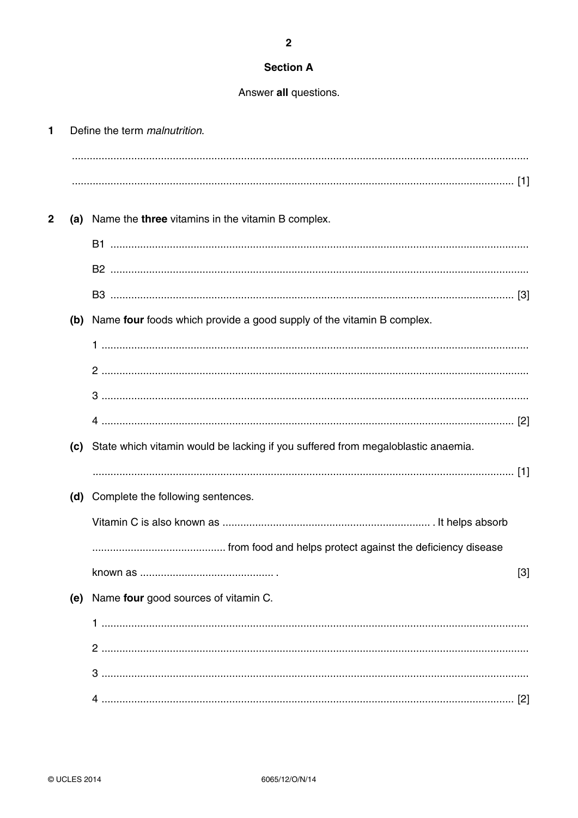### **Section A**

## Answer all questions.

| 1 |     | Define the term malnutrition.                                                        |     |
|---|-----|--------------------------------------------------------------------------------------|-----|
|   |     |                                                                                      |     |
|   |     |                                                                                      |     |
| 2 |     | (a) Name the three vitamins in the vitamin B complex.                                |     |
|   |     |                                                                                      |     |
|   |     |                                                                                      |     |
|   |     |                                                                                      |     |
|   | (b) | Name four foods which provide a good supply of the vitamin B complex.                |     |
|   |     |                                                                                      |     |
|   |     |                                                                                      |     |
|   |     |                                                                                      |     |
|   |     |                                                                                      |     |
|   |     | (c) State which vitamin would be lacking if you suffered from megaloblastic anaemia. |     |
|   |     |                                                                                      |     |
|   |     | (d) Complete the following sentences.                                                |     |
|   |     |                                                                                      |     |
|   |     |                                                                                      |     |
|   |     |                                                                                      | [3] |
|   | (e) | Name four good sources of vitamin C.                                                 |     |
|   |     |                                                                                      |     |
|   |     |                                                                                      |     |
|   |     |                                                                                      |     |
|   |     |                                                                                      |     |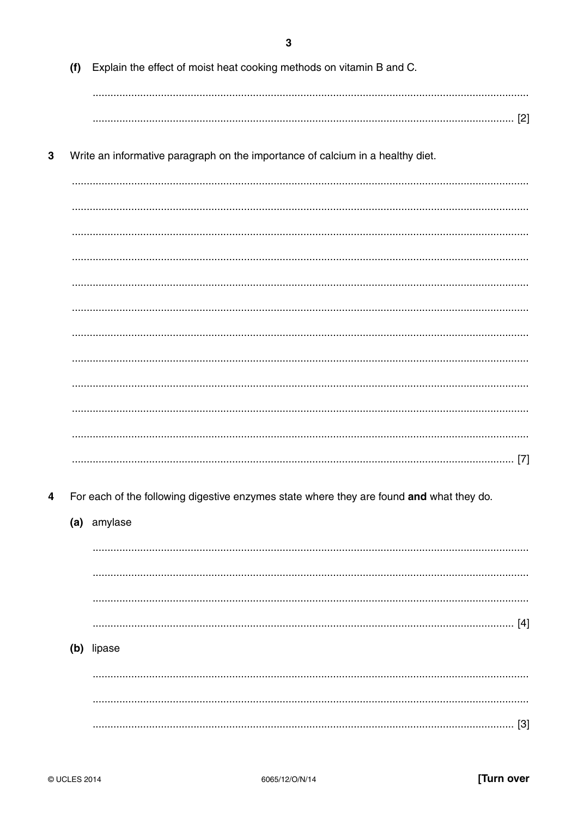| Write an informative paragraph on the importance of calcium in a healthy diet.                          |
|---------------------------------------------------------------------------------------------------------|
|                                                                                                         |
|                                                                                                         |
|                                                                                                         |
|                                                                                                         |
|                                                                                                         |
|                                                                                                         |
|                                                                                                         |
|                                                                                                         |
|                                                                                                         |
|                                                                                                         |
|                                                                                                         |
|                                                                                                         |
|                                                                                                         |
|                                                                                                         |
|                                                                                                         |
| For each of the following digestive enzymes state where they are found and what they do.<br>(a) amylase |
|                                                                                                         |
|                                                                                                         |
|                                                                                                         |
|                                                                                                         |
|                                                                                                         |
| (b) lipase                                                                                              |
|                                                                                                         |

 $\mathbf{3}$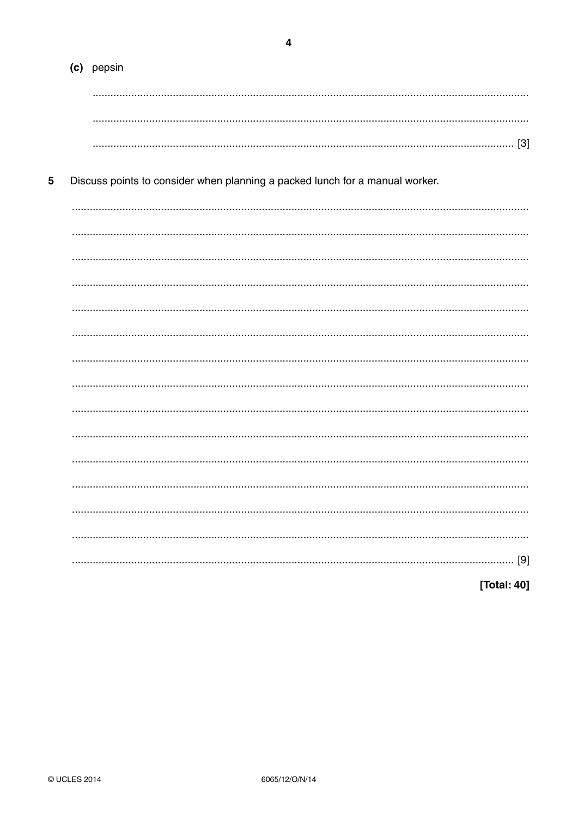|                | (c) pepsin                                                                   |
|----------------|------------------------------------------------------------------------------|
|                |                                                                              |
|                |                                                                              |
|                | [3]                                                                          |
| $5\phantom{1}$ | Discuss points to consider when planning a packed lunch for a manual worker. |
|                |                                                                              |
|                |                                                                              |
|                |                                                                              |
|                |                                                                              |
|                |                                                                              |
|                |                                                                              |
|                |                                                                              |
|                |                                                                              |
|                |                                                                              |
|                |                                                                              |
|                |                                                                              |
|                |                                                                              |
|                |                                                                              |
|                |                                                                              |
|                | $[9]$<br>                                                                    |
|                | [Total: 40]                                                                  |

 $\overline{\mathbf{4}}$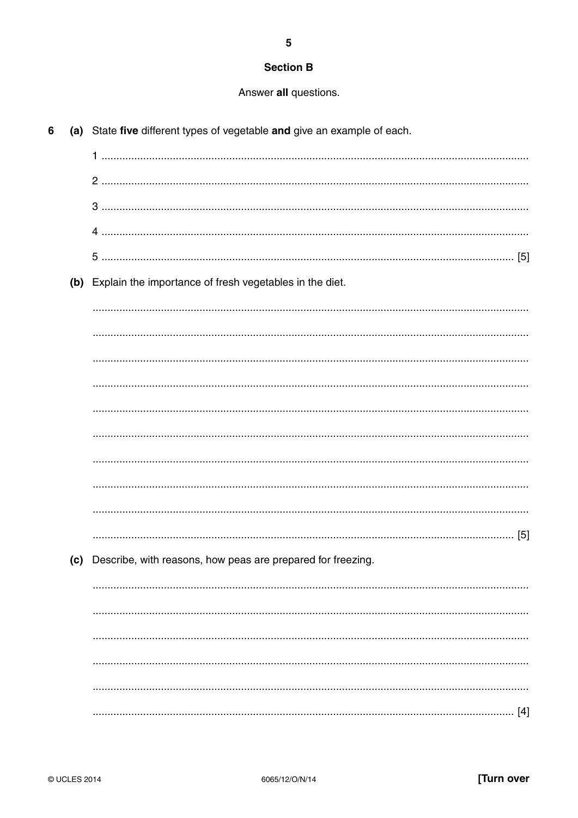### **Section B**

# Answer all questions.

| 6 | (a) State five different types of vegetable and give an example of each. |
|---|--------------------------------------------------------------------------|
|   |                                                                          |
|   |                                                                          |
|   |                                                                          |
|   |                                                                          |
|   |                                                                          |
|   | (b) Explain the importance of fresh vegetables in the diet.              |
|   |                                                                          |
|   |                                                                          |
|   |                                                                          |
|   |                                                                          |
|   |                                                                          |
|   |                                                                          |
|   |                                                                          |
|   |                                                                          |
|   |                                                                          |
|   |                                                                          |
|   | (c) Describe, with reasons, how peas are prepared for freezing.          |
|   |                                                                          |
|   |                                                                          |
|   |                                                                          |
|   |                                                                          |
|   |                                                                          |
|   |                                                                          |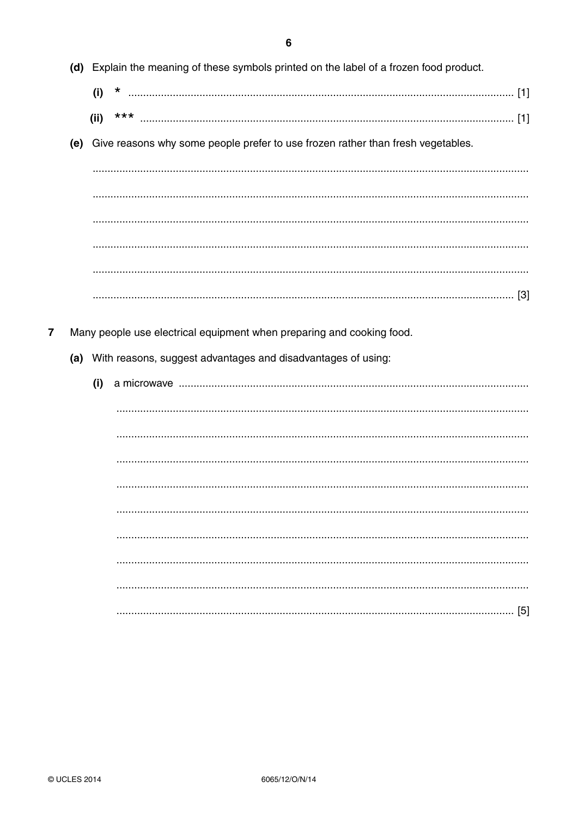|      | (d) Explain the meaning of these symbols printed on the label of a frozen food product. |
|------|-----------------------------------------------------------------------------------------|
| (i)  |                                                                                         |
| (ii) |                                                                                         |
|      | (e) Give reasons why some people prefer to use frozen rather than fresh vegetables.     |
|      |                                                                                         |
|      |                                                                                         |
|      |                                                                                         |
|      |                                                                                         |
|      |                                                                                         |
|      |                                                                                         |
|      |                                                                                         |
|      | Many people use electrical equipment when preparing and cooking food.                   |
| (i)  | (a) With reasons, suggest advantages and disadvantages of using:                        |
|      |                                                                                         |
|      |                                                                                         |
|      |                                                                                         |
|      |                                                                                         |
|      |                                                                                         |
|      |                                                                                         |
|      |                                                                                         |
|      |                                                                                         |
|      |                                                                                         |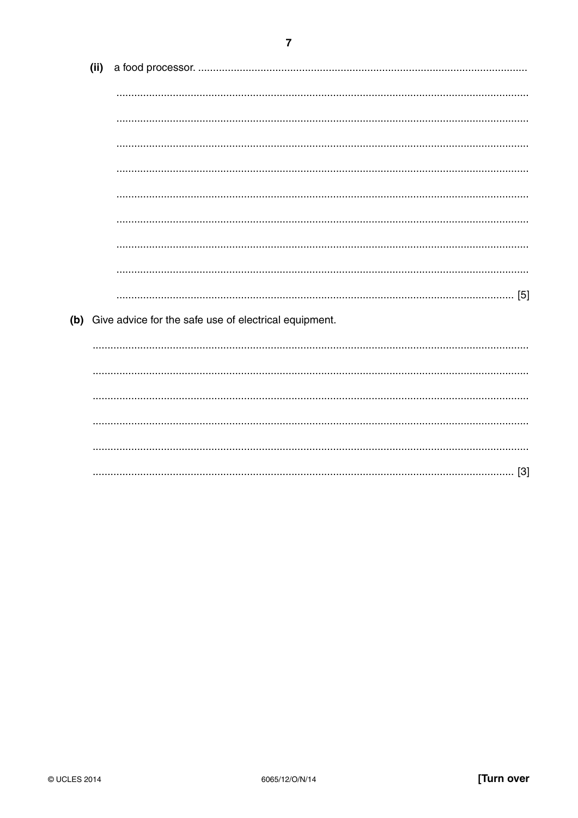|  | (b) Give advice for the safe use of electrical equipment. |
|--|-----------------------------------------------------------|
|  |                                                           |
|  |                                                           |
|  |                                                           |
|  |                                                           |
|  |                                                           |
|  |                                                           |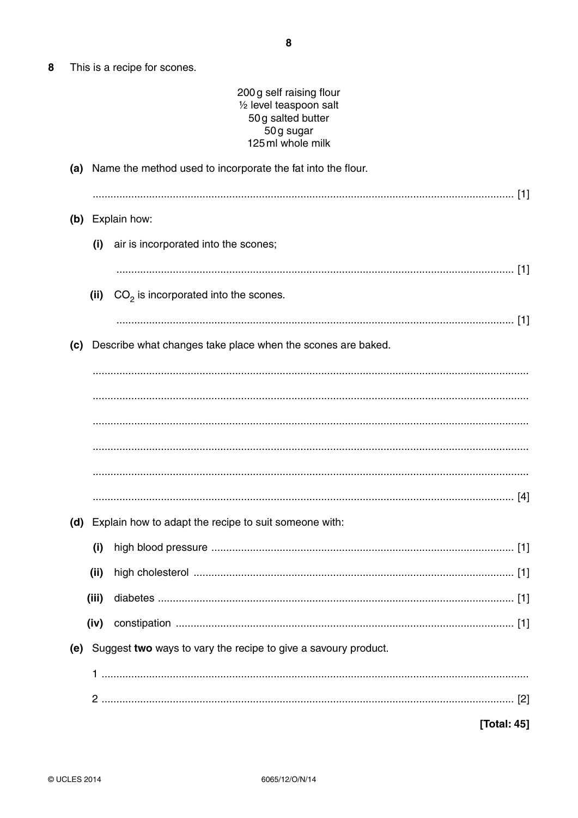$\pmb{8}$ This is a recipe for scones.

> 200g self raising flour 1/2 level teaspoon salt 50g salted butter 50g sugar 125 ml whole milk

| (a) | Name the method used to incorporate the fat into the flour. |                                                                |  |
|-----|-------------------------------------------------------------|----------------------------------------------------------------|--|
|     |                                                             | (b) Explain how:                                               |  |
|     | (i)                                                         | air is incorporated into the scones;                           |  |
|     |                                                             |                                                                |  |
|     | (ii)                                                        | $CO2$ is incorporated into the scones.                         |  |
|     |                                                             |                                                                |  |
| (c) |                                                             | Describe what changes take place when the scones are baked.    |  |
|     |                                                             |                                                                |  |
|     |                                                             |                                                                |  |
|     |                                                             |                                                                |  |
|     |                                                             |                                                                |  |
|     |                                                             |                                                                |  |
|     |                                                             |                                                                |  |
|     |                                                             |                                                                |  |
|     |                                                             | (d) Explain how to adapt the recipe to suit someone with:      |  |
|     | (i)                                                         |                                                                |  |
|     | (ii)                                                        |                                                                |  |
|     | (iii)                                                       |                                                                |  |
|     | (iv)                                                        |                                                                |  |
| (e) |                                                             | Suggest two ways to vary the recipe to give a savoury product. |  |
|     |                                                             |                                                                |  |
|     |                                                             |                                                                |  |
|     |                                                             | [Total: 45]                                                    |  |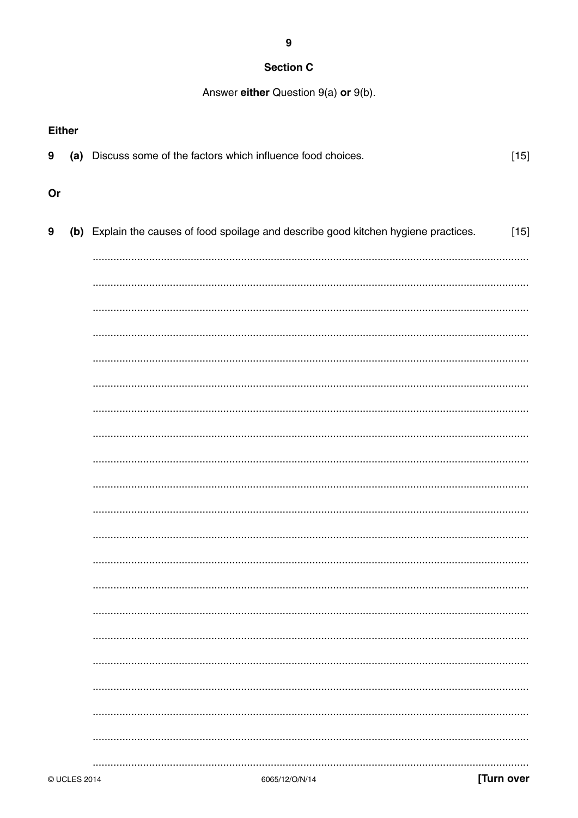# **Section C**

Answer either Question 9(a) or 9(b).

|    | <b>Either</b> |                                                                                                |  |  |
|----|---------------|------------------------------------------------------------------------------------------------|--|--|
| 9  |               | (a) Discuss some of the factors which influence food choices.<br>$[15]$                        |  |  |
| Or |               |                                                                                                |  |  |
| 9  |               | (b) Explain the causes of food spoilage and describe good kitchen hygiene practices.<br>$[15]$ |  |  |
|    |               |                                                                                                |  |  |
|    |               |                                                                                                |  |  |
|    |               |                                                                                                |  |  |
|    |               |                                                                                                |  |  |
|    |               |                                                                                                |  |  |
|    |               |                                                                                                |  |  |
|    |               |                                                                                                |  |  |
|    |               |                                                                                                |  |  |
|    |               |                                                                                                |  |  |
|    |               |                                                                                                |  |  |
|    |               |                                                                                                |  |  |
|    |               |                                                                                                |  |  |
|    |               |                                                                                                |  |  |
|    |               |                                                                                                |  |  |
|    |               |                                                                                                |  |  |
|    |               |                                                                                                |  |  |
|    |               |                                                                                                |  |  |
|    |               |                                                                                                |  |  |
|    |               |                                                                                                |  |  |
|    |               |                                                                                                |  |  |
|    |               |                                                                                                |  |  |
|    |               | гт                                                                                             |  |  |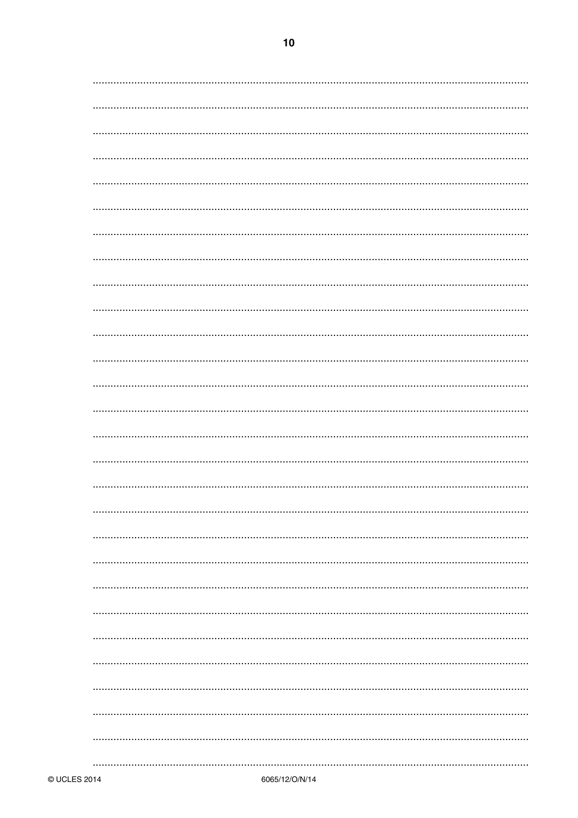© UCLES 2014

| 6065/12/O/N/14 |
|----------------|
|                |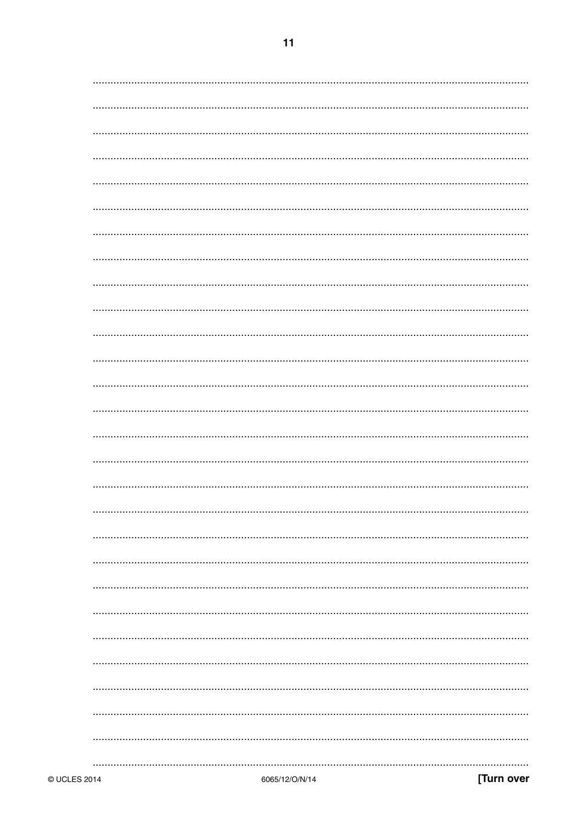© UCLES 2014